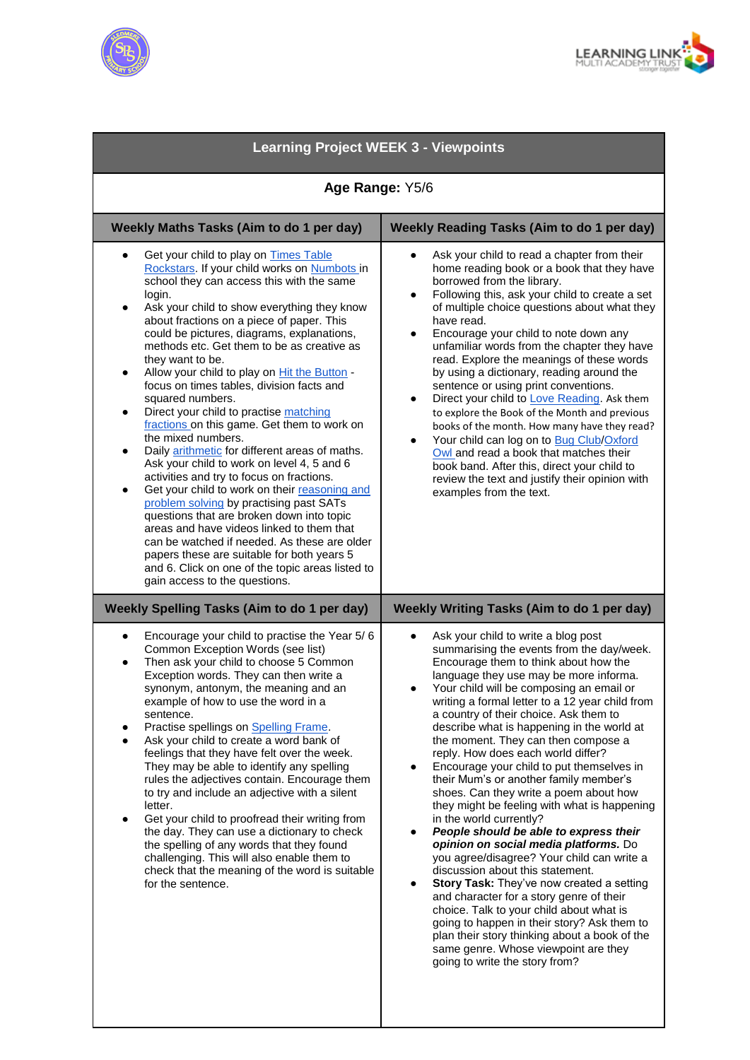



| <b>Learning Project WEEK 3 - Viewpoints</b>                                                                                                                                                                                                                                                                                                                                                                                                                                                                                                                                                                                                                                                                                                                                                                                                                                                                                                                                                                                                                                                                                                          |                                                                                                                                                                                                                                                                                                                                                                                                                                                                                                                                                                                                                                                                                                                                                                                                                                                                                                                                                                                                                                                                                                                                              |
|------------------------------------------------------------------------------------------------------------------------------------------------------------------------------------------------------------------------------------------------------------------------------------------------------------------------------------------------------------------------------------------------------------------------------------------------------------------------------------------------------------------------------------------------------------------------------------------------------------------------------------------------------------------------------------------------------------------------------------------------------------------------------------------------------------------------------------------------------------------------------------------------------------------------------------------------------------------------------------------------------------------------------------------------------------------------------------------------------------------------------------------------------|----------------------------------------------------------------------------------------------------------------------------------------------------------------------------------------------------------------------------------------------------------------------------------------------------------------------------------------------------------------------------------------------------------------------------------------------------------------------------------------------------------------------------------------------------------------------------------------------------------------------------------------------------------------------------------------------------------------------------------------------------------------------------------------------------------------------------------------------------------------------------------------------------------------------------------------------------------------------------------------------------------------------------------------------------------------------------------------------------------------------------------------------|
| Age Range: Y5/6                                                                                                                                                                                                                                                                                                                                                                                                                                                                                                                                                                                                                                                                                                                                                                                                                                                                                                                                                                                                                                                                                                                                      |                                                                                                                                                                                                                                                                                                                                                                                                                                                                                                                                                                                                                                                                                                                                                                                                                                                                                                                                                                                                                                                                                                                                              |
| Weekly Maths Tasks (Aim to do 1 per day)                                                                                                                                                                                                                                                                                                                                                                                                                                                                                                                                                                                                                                                                                                                                                                                                                                                                                                                                                                                                                                                                                                             | <b>Weekly Reading Tasks (Aim to do 1 per day)</b>                                                                                                                                                                                                                                                                                                                                                                                                                                                                                                                                                                                                                                                                                                                                                                                                                                                                                                                                                                                                                                                                                            |
| Get your child to play on Times Table<br>$\bullet$<br>Rockstars. If your child works on Numbots in<br>school they can access this with the same<br>login.<br>Ask your child to show everything they know<br>٠<br>about fractions on a piece of paper. This<br>could be pictures, diagrams, explanations,<br>methods etc. Get them to be as creative as<br>they want to be.<br>Allow your child to play on Hit the Button -<br>٠<br>focus on times tables, division facts and<br>squared numbers.<br>Direct your child to practise matching<br>٠<br>fractions on this game. Get them to work on<br>the mixed numbers.<br>Daily arithmetic for different areas of maths.<br>٠<br>Ask your child to work on level 4, 5 and 6<br>activities and try to focus on fractions.<br>Get your child to work on their reasoning and<br>٠<br>problem solving by practising past SATs<br>questions that are broken down into topic<br>areas and have videos linked to them that<br>can be watched if needed. As these are older<br>papers these are suitable for both years 5<br>and 6. Click on one of the topic areas listed to<br>gain access to the questions. | Ask your child to read a chapter from their<br>home reading book or a book that they have<br>borrowed from the library.<br>Following this, ask your child to create a set<br>$\bullet$<br>of multiple choice questions about what they<br>have read.<br>Encourage your child to note down any<br>$\bullet$<br>unfamiliar words from the chapter they have<br>read. Explore the meanings of these words<br>by using a dictionary, reading around the<br>sentence or using print conventions.<br>Direct your child to Love Reading. Ask them<br>$\bullet$<br>to explore the Book of the Month and previous<br>books of the month. How many have they read?<br>Your child can log on to Bug Club/Oxford<br>Owl and read a book that matches their<br>book band. After this, direct your child to<br>review the text and justify their opinion with<br>examples from the text.                                                                                                                                                                                                                                                                   |
| <b>Weekly Spelling Tasks (Aim to do 1 per day)</b>                                                                                                                                                                                                                                                                                                                                                                                                                                                                                                                                                                                                                                                                                                                                                                                                                                                                                                                                                                                                                                                                                                   | <b>Weekly Writing Tasks (Aim to do 1 per day)</b>                                                                                                                                                                                                                                                                                                                                                                                                                                                                                                                                                                                                                                                                                                                                                                                                                                                                                                                                                                                                                                                                                            |
| Encourage your child to practise the Year 5/6<br>$\bullet$<br>Common Exception Words (see list)<br>Then ask your child to choose 5 Common<br>Exception words. They can then write a<br>synonym, antonym, the meaning and an<br>example of how to use the word in a<br>sentence.<br>Practise spellings on Spelling Frame.<br>Ask your child to create a word bank of<br>feelings that they have felt over the week.<br>They may be able to identify any spelling<br>rules the adjectives contain. Encourage them<br>to try and include an adjective with a silent<br>letter.<br>Get your child to proofread their writing from<br>$\bullet$<br>the day. They can use a dictionary to check<br>the spelling of any words that they found<br>challenging. This will also enable them to<br>check that the meaning of the word is suitable<br>for the sentence.                                                                                                                                                                                                                                                                                          | Ask your child to write a blog post<br>summarising the events from the day/week.<br>Encourage them to think about how the<br>language they use may be more informa.<br>Your child will be composing an email or<br>writing a formal letter to a 12 year child from<br>a country of their choice. Ask them to<br>describe what is happening in the world at<br>the moment. They can then compose a<br>reply. How does each world differ?<br>Encourage your child to put themselves in<br>their Mum's or another family member's<br>shoes. Can they write a poem about how<br>they might be feeling with what is happening<br>in the world currently?<br>People should be able to express their<br>opinion on social media platforms. Do<br>you agree/disagree? Your child can write a<br>discussion about this statement.<br>Story Task: They've now created a setting<br>٠<br>and character for a story genre of their<br>choice. Talk to your child about what is<br>going to happen in their story? Ask them to<br>plan their story thinking about a book of the<br>same genre. Whose viewpoint are they<br>going to write the story from? |